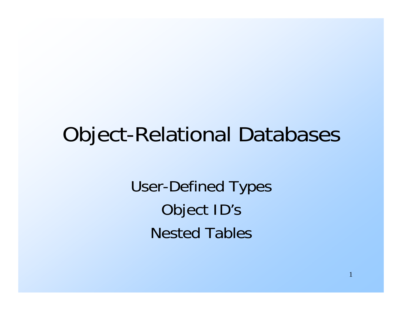#### Object-Relational Databases

User-Defined Types Object ID's Nested Tables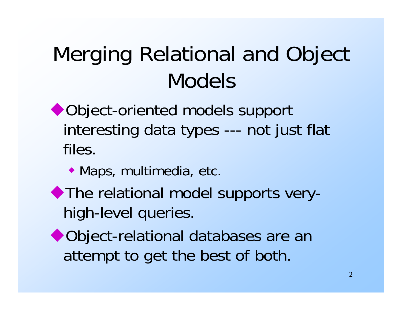### Merging Relational and Object Models

- ◆ Object-oriented models support interesting data types --- not just flat files.
	- Maps, multimedia, etc.
- The relational model supports veryhigh-level queries.
- ◆ Object-relational databases are an attempt to get the best of both.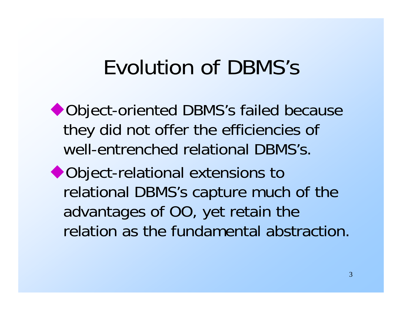#### Evolution of DBMS's

◆ Object-oriented DBMS's failed because they did not offer the efficiencies of well-entrenched relational DBMS's.

◆ Object-relational extensions to relational DBMS's capture much of the advantages of OO, yet retain the relation as the fundamental abstraction.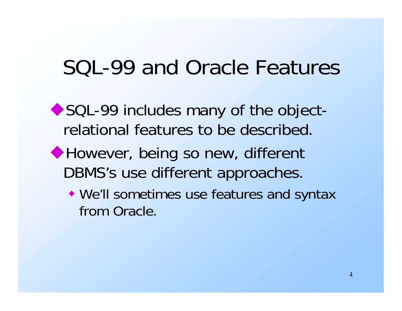#### SQL-99 and Oracle Features

- ◆ SQL-99 includes many of the objectrelational features to be described.
- ◆ However, being so new, different DBMS's use different approaches.
	- We'll sometimes use features and syntax from Oracle.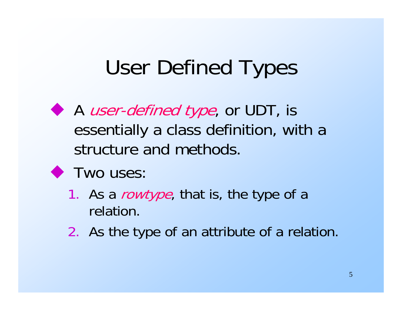#### User Defined Types

- A *user-defined type*, or UDT, is essentially a class definition, with a structure and methods.
- **Two uses:** 
	- 1. As a *rowtype*, that is, the type of a relation.
	- 2. As the type of an attribute of a relation.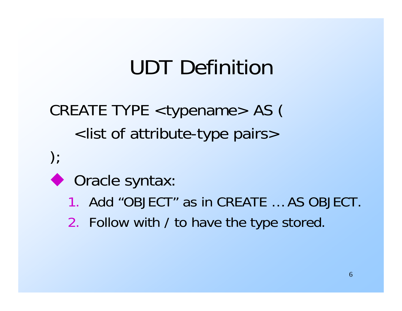#### UDT Definition

CREATE TYPE <typename> AS ( <list of attribute-type pairs>

- $\cdot$
- ◆ Oracle syntax:
	- 1. Add "OBJECT" as in CREATE … AS OBJECT.
	- 2. Follow with / to have the type stored.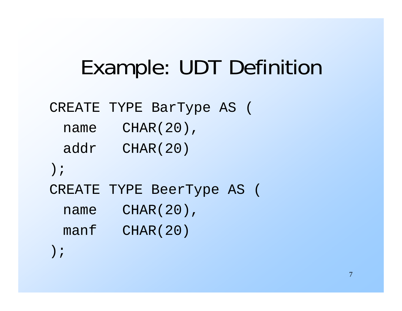#### Example: UDT Definition

#### CREATE TYPE BarType AS (

name CHAR(20),

addr CHAR(20)

);

CREATE TYPE BeerType AS (

name CHAR(20),

manf CHAR(20)

);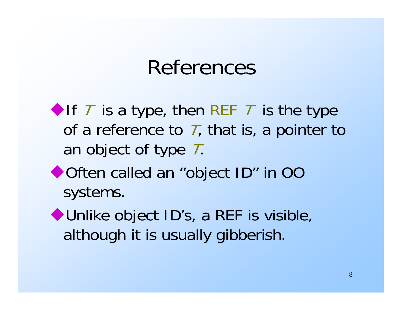#### References

If  $\top$  is a type, then REF  $\top$  is the type of a reference to  $\bar{I}$ , that is, a pointer to an object of type T.

- ◆ Often called an "object ID" in OO systems.
- ◆ Unlike object ID's, a REF is visible, although it is usually gibberish.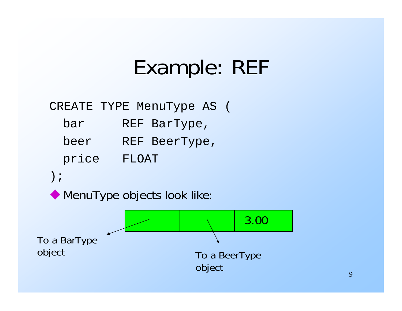#### Example: REF

#### CREATE TYPE MenuType AS (

- bar REF BarType,
- beer REF BeerType,
- price FLOAT

);

**MenuType objects look like:** 

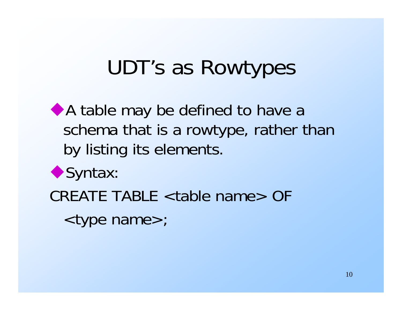#### UDT's as Rowtypes

A table may be defined to have a schema that is a rowtype, rather than by listing its elements.



CREATE TABLE <table name> OF

<type name>;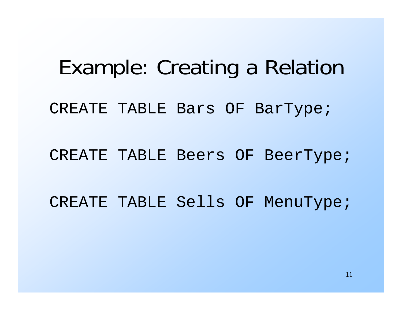# Example: Creating a Relation CREATE TABLE Bars OF BarType; CREATE TABLE Beers OF BeerType; CREATE TABLE Sells OF MenuType;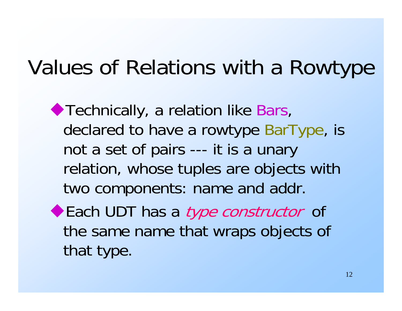#### Values of Relations with a Rowtype

◆ Technically, a relation like Bars, declared to have a rowtype BarType, is not a set of pairs --- it is a unary relation, whose tuples are objects with two components: name and addr.

Each UDT has a *type constructor* of the same name that wraps objects of that type.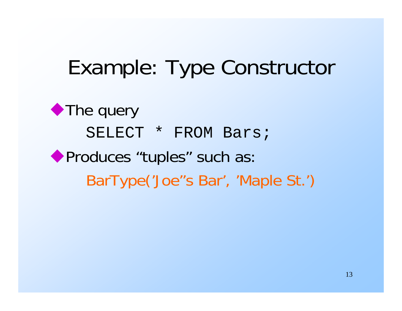#### Example: Type Constructor

◆ The query SELECT \* FROM Bars; Produces "tuples" such as: BarType('Joe''s Bar', 'Maple St.')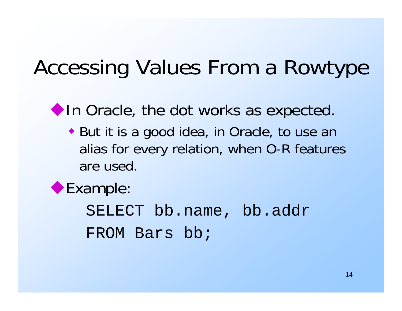#### Accessing Values From a Rowtype

In Oracle, the dot works as expected.

 But it is a good idea, in Oracle, to use an alias for every relation, when O-R features are used.

#### Example:

SELECT bb.name, bb.addr FROM Bars bb;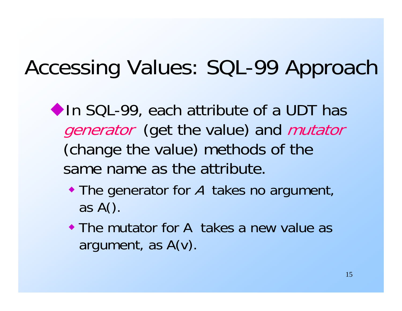#### Accessing Values: SQL-99 Approach

◆ In SQL-99, each attribute of a UDT has generator (get the value) and mutator (change the value) methods of the same name as the attribute.

- The generator for A takes no argument, as A().
- The mutator for A takes a new value as argument, as A(v).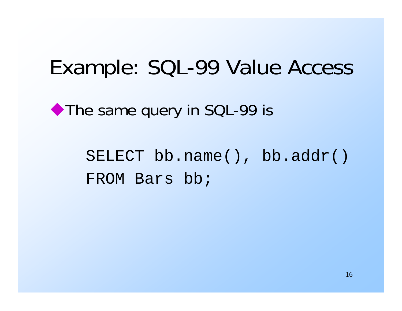#### Example: SQL-99 Value Access

◆ The same query in SQL-99 is

SELECT bb.name(), bb.addr() FROM Bars bb;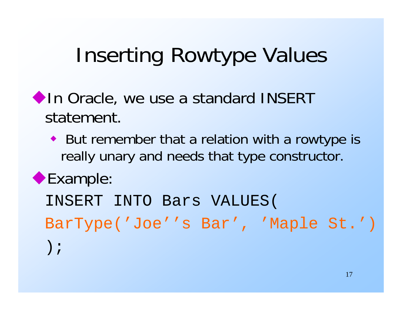#### Inserting Rowtype Values

- In Oracle, we use a standard INSERT statement.
	- But remember that a relation with a rowtype is really unary and needs that type constructor.

#### Example:

INSERT INTO Bars VALUES( BarType('Joe''s Bar', 'Maple St.') );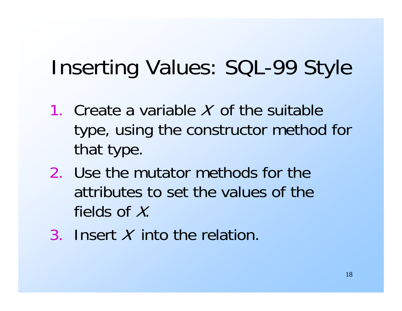#### Inserting Values: SQL-99 Style

- 1. Create a variable X of the suitable type, using the constructor method for that type.
- 2. Use the mutator methods for the attributes to set the values of the fields of  $X$ .
- 3. Insert X into the relation.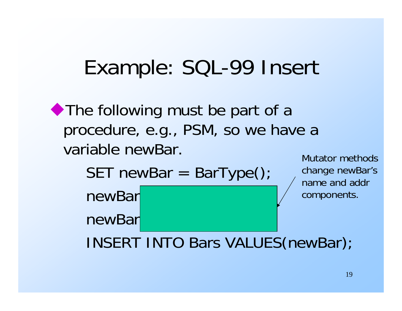#### Example: SQL-99 Insert

The following must be part of a procedure, e.g., PSM, so we have a variable newBar. Mutator methods

 $SET$  newBar = BarType $()$ ;

newBar<sup>|</sup>

newBar.

change newBar's name and addr components.

INSERT INTO Bars VALUES(newBar);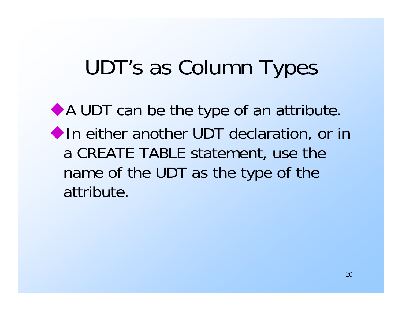#### UDT's as Column Types

A UDT can be the type of an attribute. **In either another UDT declaration, or in** a CREATE TABLE statement, use the name of the UDT as the type of the attribute.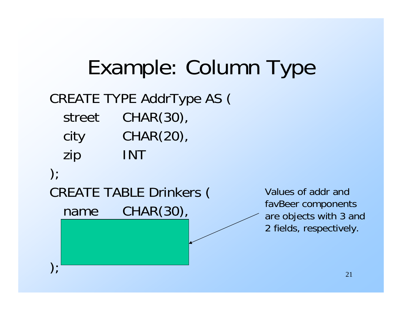#### Example: Column Type CREATE TYPE AddrType AS ( street CHAR(30), city CHAR(20), zip INT  $\cdot$ CREATE TABLE Drinkers ( name CHAR(30), ); Values of addr andfavBeer components are objects with 3 and 2 fields, respectively.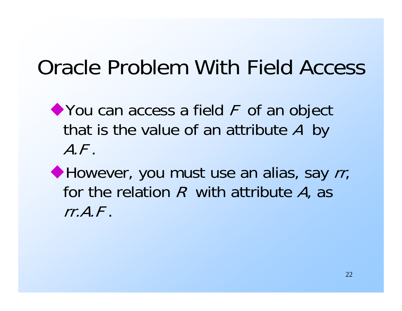#### Oracle Problem With Field Access

◆ You can access a field F of an object that is the value of an attribute A by A.F.

However, you must use an alias, say rr, for the relation  $R$  with attribute  $A$ , as rr.A.F.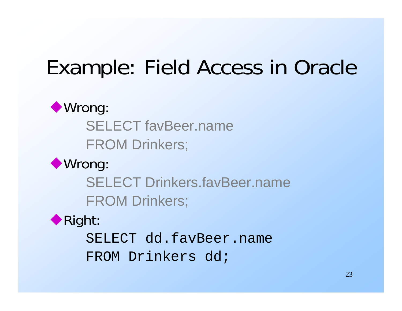### Example: Field Access in Oracle

#### ◆ Wrong:

SELECT favBeer.name

FROM Drinkers;

◆ Wrong:

SELECT Drinkers.favBeer.nameFROM Drinkers;



SELECT dd.favBeer.nameFROM Drinkers dd;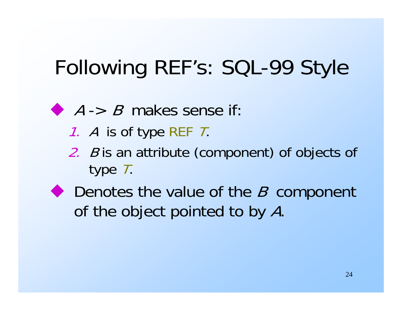# Following REF's: SQL-99 Style

- $A \rightarrow B$  makes sense if:
	- 1. A is of type REF T.
	- 2. B is an attribute (component) of objects of type T.
- ◆ Denotes the value of the *B* component of the object pointed to by A.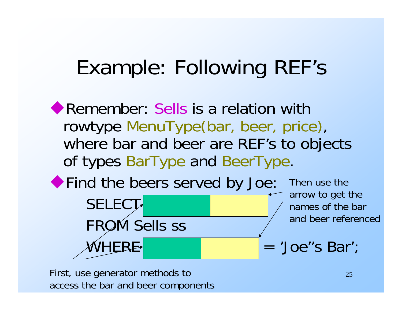#### Example: Following REF's

**Remember: Sells is a relation with** rowtype MenuType(bar, beer, price), where bar and beer are REF's to objects of types BarType and BeerType. Find the beers served by Joe: SELECT-FROM Sells ssThen use thearrow to get the names of the bar and beer referenced

```
WHERE satisfies and H = 'Joe''s Bar';
```
First, use generator methods to access the bar and beer components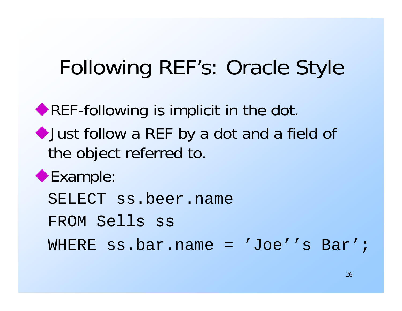#### Following REF's: Oracle Style

REF-following is implicit in the dot. Just follow a REF by a dot and a field of the object referred to. Example: SELECT ss.beer.name FROM Sells ss WHERE ss.bar.name = 'Joe''s Bar';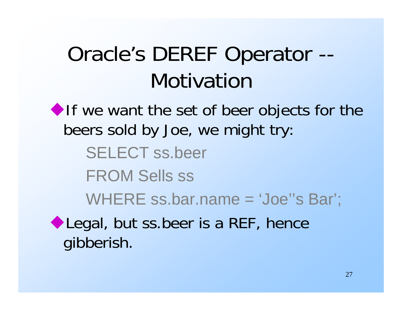### Oracle's DEREF Operator -- Motivation

If we want the set of beer objects for the beers sold by Joe, we might try: SELECT ss.beer FROM Sells ss WHERE ss.bar.name = 'Joe''s Bar'; Legal, but ss.beer is a REF, hence gibberish.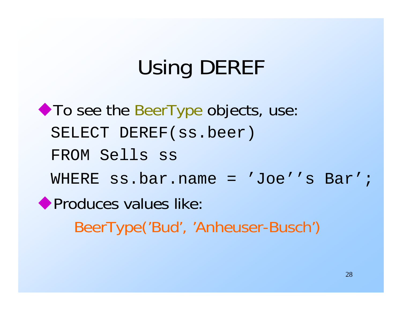# Using DEREF

**To see the BeerType objects, use:** SELECT DEREF(ss.beer) FROM Sells ss WHERE ss.bar.name = 'Joe''s Bar';**• Produces values like:** BeerType('Bud', 'Anheuser-Busch')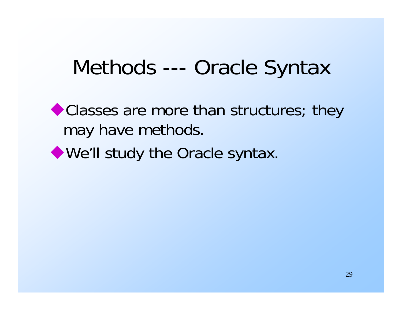#### Methods --- Oracle Syntax

Classes are more than structures; they may have methods.

We'll study the Oracle syntax.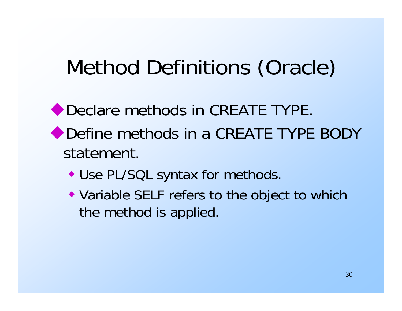### Method Definitions (Oracle)

- ◆ Declare methods in CREATE TYPE. ◆ Define methods in a CREATE TYPE BODY statement.
	- Use PL/SQL syntax for methods.
	- Variable SELF refers to the object to which the method is applied.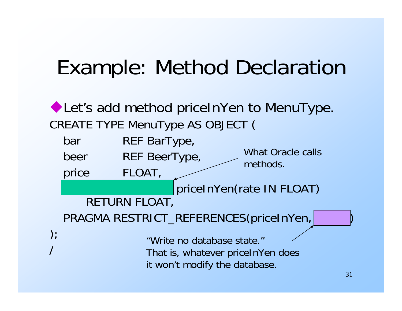#### Example: Method Declaration

◆ Let's add method priceInYen to MenuType. CREATE TYPE MenuType AS OBJECT ( bar REF BarType, beer REF BeerType, price FLOAT, priceInYen(rate IN FLOAT) RETURN FLOAT, PRAGMA RESTRICT\_REFERENCES(priceInYen,  $\Big)$  ; / What Oracle callsmethods."Write no database state."That is, whatever priceInYen does it won't modify the database.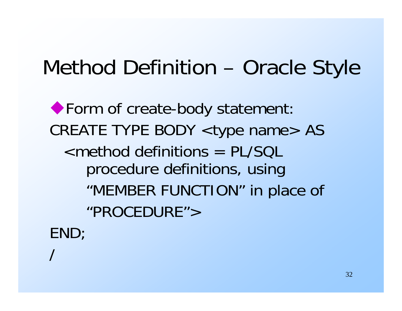#### Method Definition – Oracle Style

◆ Form of create-body statement: CREATE TYPE BODY <type name> AS <method definitions = PL/SQL procedure definitions, using "MEMBER FUNCTION" in place of "PROCEDURE">END;

/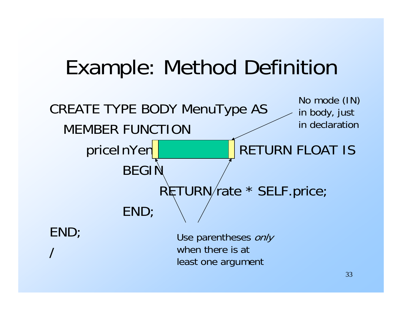#### Example: Method Definition

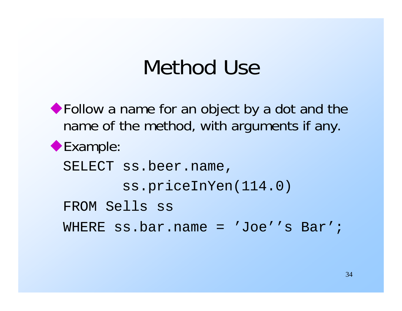#### Method Use

◆ Follow a name for an object by a dot and the name of the method, with arguments if any. Example: SELECT ss.beer.name, ss.priceInYen(114.0) FROM Sells ss WHERE ss.bar.name = 'Joe''s Bar';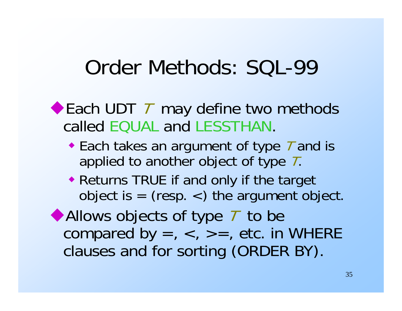#### Order Methods: SQL-99

#### ◆ Each UDT 7 may define two methods called EQUAL and LESSTHAN.

- ◆ Each takes an argument of type T and is applied to another object of type  $\,$   $\!$   $\!$   $\!$
- Returns TRUE if and only if the target object is  $=$  (resp.  $<$ ) the argument object.

Allows objects of type T to be compared by  $=$ ,  $\lt$ ,  $\gt$  $=$ , etc. in WHERE clauses and for sorting (ORDER BY).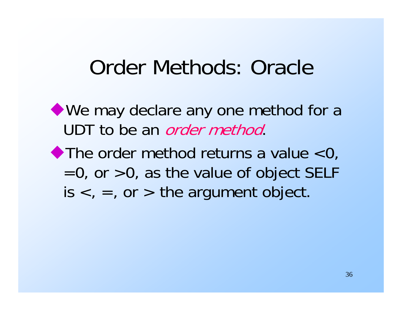#### Order Methods: Oracle

- We may declare any one method for a UDT to be an *order method*.
- $\blacktriangleright$  The order method returns a value  $<$ 0,  $=0$ , or  $>0$ , as the value of object SELF  $is <, =,$  or  $>$  the argument object.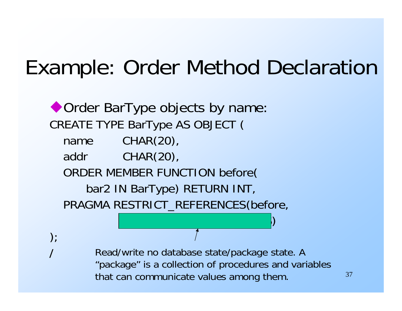#### Example: Order Method Declaration

◆ Order BarType objects by name: CREATE TYPE BarType AS OBJECT ( name CHAR(20), addr CHAR(20), ORDER MEMBER FUNCTION before( bar2 IN BarType) RETURN INT, PRAGMA RESTRICT\_REFERENCES(before, WNDS, RNDS, RNDS, RNDS, RNDS, RNDS, RNDS, RNDS, RNDS, RNDS, RNDS, RNDS, RNDS, RNDS, RNDS, RNDS, RNDS, RNDS, RN

 $\big)$  ;

Read/write no database state/package state. A "package" is a collection of procedures and variables that can communicate values among them.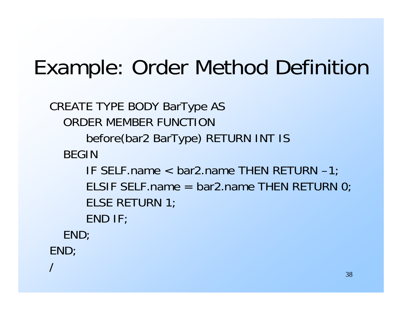### Example: Order Method Definition

```
CREATE TYPE BODY BarType AS
  ORDER MEMBER FUNCTIONbefore(bar2 BarType) RETURN INT IS
  BEGINIF SELF.name < bar2.name THEN RETURN –1;
     ELSIF SELF.name = bar2.name THEN RETURN 0;
     ELSE RETURN 1;
     END IF;
  END;
END;
/
```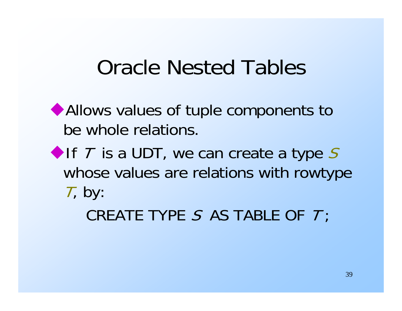#### Oracle Nested Tables

Allows values of tuple components to be whole relations.

If  $T$  is a UDT, we can create a type  $S$ whose values are relations with rowtype  $T$ , by:

 $\mathsf{CREATE}\ \mathsf{TYPE}\ \mathcal{S}\ \ \mathsf{AS}\ \mathsf{TABLE}\ \mathsf{OF}\ \ \mathcal{T};$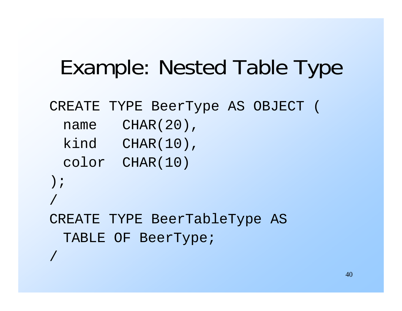#### Example: Nested Table Type

```
CREATE TYPE BeerType AS OBJECT (
```
- name CHAR(20),
- kind CHAR(10),
- color CHAR(10)
- );

/

/

```
CREATE TYPE BeerTableType AS 
 TABLE OF BeerType;
```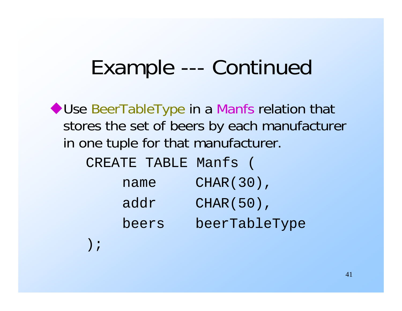#### Example --- Continued

◆ Use BeerTableType in a Manfs relation that stores the set of beers by each manufacturer in one tuple for that manufacturer.

| CREATE TABLE Manfs |  |               |
|--------------------|--|---------------|
| name               |  | CHAR (30),    |
| addr               |  | CHAR (50),    |
| beers              |  | beerTableType |
|                    |  |               |

);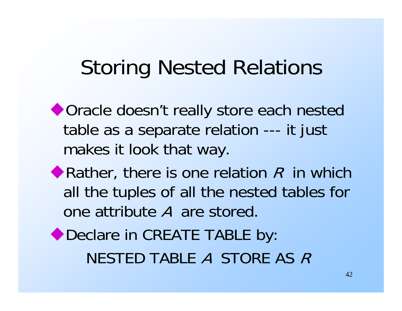#### Storing Nested Relations

- ◆ Oracle doesn't really store each nested table as a separate relation --- it just makes it look that way.
- Rather, there is one relation  $R$  in which all the tuples of all the nested tables for one attribute A are stored.

◆ Declare in CREATE TABLE by: NESTED TABLE A STORE AS R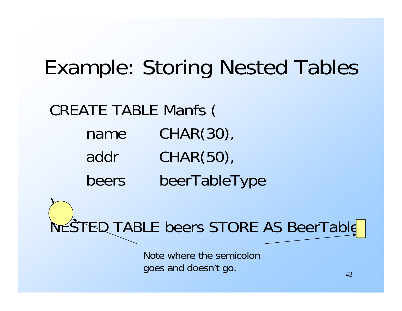### Example: Storing Nested Tables

#### CREATE TABLE Manfs (

 $\sum$ 

name CHAR(30),

- addr CHAR(50),
- beers beerTableType

NESTED TABLE beers STORE AS BeerTable

Note where the semicolongoes and doesn't go.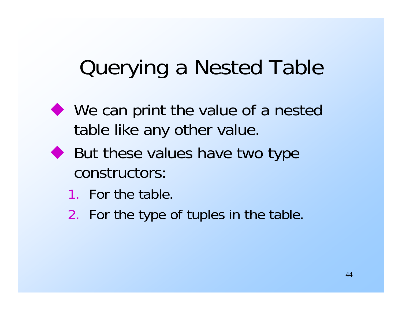# Querying a Nested Table

- ◆ We can print the value of a nested table like any other value.
- ◆ But these values have two type constructors:
	- 1. For the table.
	- 2. For the type of tuples in the table.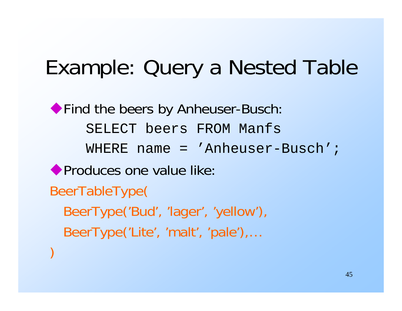#### Example: Query a Nested Table

◆ Find the beers by Anheuser-Busch: SELECT beers FROM ManfsWHERE name = 'Anheuser-Busch'; **Produces one value like:** BeerTableType( BeerType('Bud', 'lager', 'yellow'), BeerType('Lite', 'malt', 'pale'),… )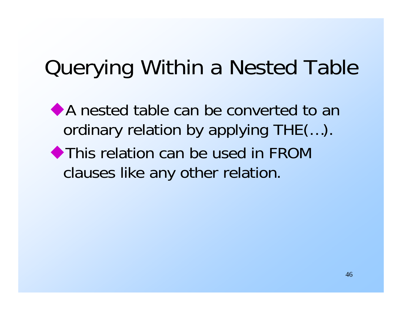### Querying Within a Nested Table

A nested table can be converted to an ordinary relation by applying THE(…). This relation can be used in FROM clauses like any other relation.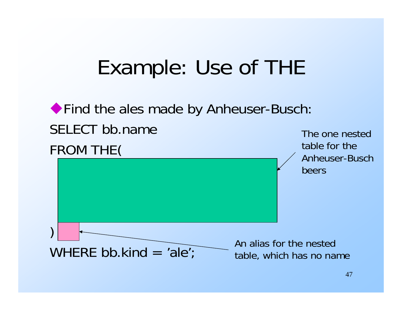#### Example: Use of THE

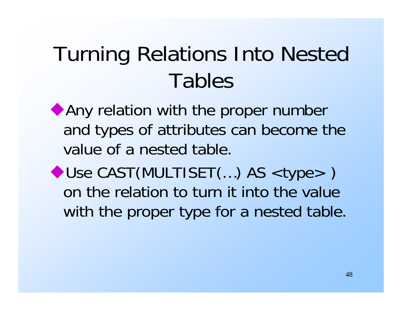## Turning Relations Into Nested Tables

Any relation with the proper number and types of attributes can become the value of a nested table.

◆ Use CAST(MULTISET(...) AS <type>) on the relation to turn it into the value with the proper type for a nested table.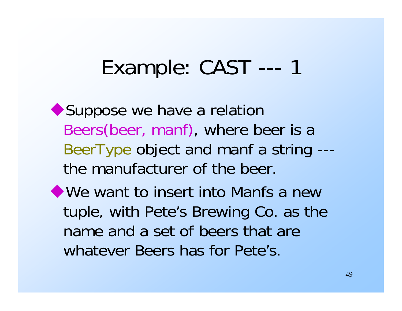#### Example: CAST --- 1

◆ Suppose we have a relation Beers(beer, manf), where beer is a BeerType object and manf a string -- the manufacturer of the beer.

We want to insert into Manfs a new tuple, with Pete's Brewing Co. as the name and a set of beers that are whatever Beers has for Pete's.